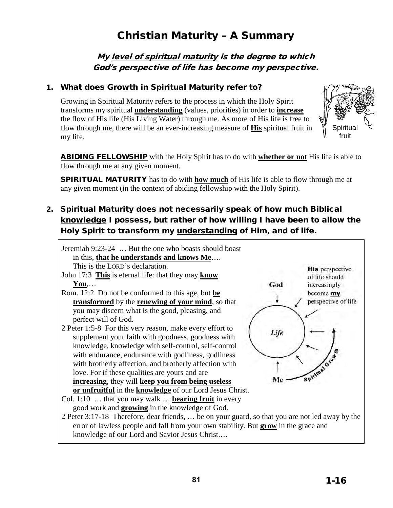# Christian Maturity – A Summary

My level of spiritual maturity is the degree to which God's perspective of life has become my perspective.

### 1. What does Growth in Spiritual Maturity refer to?

Growing in Spiritual Maturity refers to the process in which the Holy Spirit transforms my spiritual **understanding** (values, priorities) in order to **increase** the flow of His life (His Living Water) through me. As more of His life is free to flow through me, there will be an ever-increasing measure of **His** spiritual fruit in my life.



ABIDING FELLOWSHIP with the Holy Spirit has to do with **whether or not** His life is able to flow through me at any given moment.

SPIRITUAL MATURITY has to do with **how much** of His life is able to flow through me at any given moment (in the context of abiding fellowship with the Holy Spirit).

# 2. Spiritual Maturity does not necessarily speak of how much Biblical knowledge I possess, but rather of how willing I have been to allow the Holy Spirit to transform my understanding of Him, and of life.

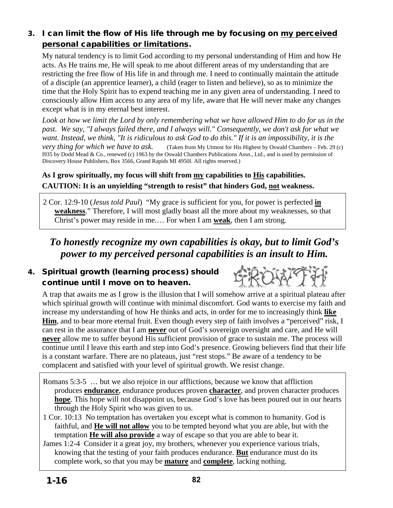# 3. I can limit the flow of His life through me by focusing on my perceived personal capabilities or limitations.

My natural tendency is to limit God according to my personal understanding of Him and how He acts. As He trains me, He will speak to me about different areas of my understanding that are restricting the free flow of His life in and through me. I need to continually maintain the attitude of a disciple (an apprentice learner), a child (eager to listen and believe), so as to minimize the time that the Holy Spirit has to expend teaching me in any given area of understanding. I need to consciously allow Him access to any area of my life, aware that He will never make any changes except what is in my eternal best interest.

Look at how we limit the Lord by only remembering what we have allowed Him to do for us in the *past. We say, "I always failed there, and I always will." Consequently, we don't ask for what we want. Instead, we think, "It is ridiculous to ask God to do this." If it is an impossibility, it is the very thing for which we have to ask.* (Taken from My Utmost for His Highest by Oswald Chambers – Feb. 29 (c) l935 by Dodd Mead & Co., renewed (c) 1963 by the Oswald Chambers Publications Assn., Ltd., and is used by permission of Discovery House Publishers, Box 3566, Grand Rapids MI 4950l. All rights reserved.)

## **As I grow spiritually, my focus will shift from my capabilities to His capabilities. CAUTION: It is an unyielding "strength to resist" that hinders God, not weakness.**

2 Cor. 12:9-10 (*Jesus told Paul*) "My grace is sufficient for you, for power is perfected **in weakness**." Therefore, I will most gladly boast all the more about my weaknesses, so that Christ's power may reside in me.… For when I am **weak**, then I am strong.

# *To honestly recognize my own capabilities is okay, but to limit God's power to my perceived personal capabilities is an insult to Him.*

# 4. Spiritual growth (learning process) should continue until I move on to heaven.



A trap that awaits me as I grow is the illusion that I will somehow arrive at a spiritual plateau after which spiritual growth will continue with minimal discomfort. God wants to exercise my faith and increase my understanding of how He thinks and acts, in order for me to increasingly think **like Him**, and to bear more eternal fruit. Even though every step of faith involves a "perceived" risk, I can rest in the assurance that I am **never** out of God's sovereign oversight and care, and He will **never** allow me to suffer beyond His sufficient provision of grace to sustain me. The process will continue until I leave this earth and step into God's presence. Growing believers find that their life is a constant warfare. There are no plateaus, just "rest stops." Be aware of a tendency to be complacent and satisfied with your level of spiritual growth. We resist change.

- Romans 5:3-5 … but we also rejoice in our afflictions, because we know that affliction produces **endurance**, endurance produces proven **character**, and proven character produces **hope**. This hope will not disappoint us, because God's love has been poured out in our hearts through the Holy Spirit who was given to us.
- 1 Cor. 10:13 No temptation has overtaken you except what is common to humanity. God is faithful, and **He will not allow** you to be tempted beyond what you are able, but with the temptation **He will also provide** a way of escape so that you are able to bear it.
- James 1:2-4 Consider it a great joy, my brothers, whenever you experience various trials, knowing that the testing of your faith produces endurance. **But** endurance must do its complete work, so that you may be **mature** and **complete**, lacking nothing.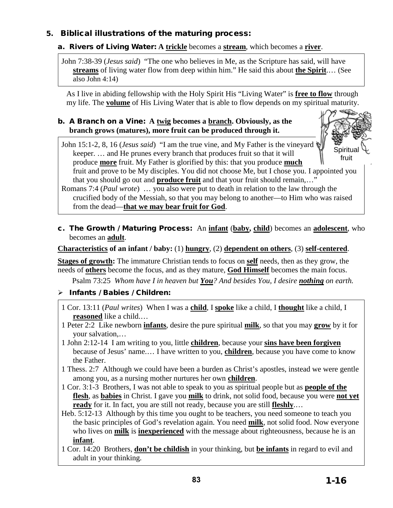## 5. Biblical illustrations of the maturing process:

## a. Rivers of Living Water: **A trickle** becomes a **stream**, which becomes a **river**.

John 7:38-39 (*Jesus said*) "The one who believes in Me, as the Scripture has said, will have **streams** of living water flow from deep within him." He said this about **the Spirit**.… (See also John 4:14)

As I live in abiding fellowship with the Holy Spirit His "Living Water" is **free to flow** through my life. The **volume** of His Living Water that is able to flow depends on my spiritual maturity.

#### b. A Branch on a Vine: **A twig becomes a branch. Obviously, as the branch grows (matures), more fruit can be produced through it.**

John 15:1-2, 8, 16 (*Jesus said*) "I am the true vine, and My Father is the vineyard keeper. … and He prunes every branch that produces fruit so that it will produce **more** fruit. My Father is glorified by this: that you produce **much** fruit and prove to be My disciples. You did not choose Me, but I chose you. I appointed you that you should go out and **produce fruit** and that your fruit should remain,…" Spiritual fruit

Romans 7:4 (*Paul wrote*) … you also were put to death in relation to the law through the crucified body of the Messiah, so that you may belong to another—to Him who was raised from the dead—**that we may bear fruit for God**.

c. The Growth / Maturing Process:An **infant** (**baby, child**) becomes an **adolescent**, who becomes an **adult**.

#### **Characteristics of an infant / baby:** (1) **hungry**, (2) **dependent on others**, (3) **self-centered**.

**Stages of growth:** The immature Christian tends to focus on **self** needs, then as they grow, the needs of **others** become the focus, and as they mature, **God Himself** becomes the main focus.

Psalm 73:25 *Whom have I in heaven but You? And besides You, I desire nothing on earth.* 

## $\triangleright$  Infants / Babies / Children:

- 1 Cor. 13:11 (*Paul writes*) When I was a **child**, I **spoke** like a child, I **thought** like a child, I **reasoned** like a child.…
- 1 Peter 2:2 Like newborn **infants**, desire the pure spiritual **milk**, so that you may **grow** by it for your salvation,…
- 1 John 2:12-14 I am writing to you, little **children**, because your **sins have been forgiven** because of Jesus' name.… I have written to you, **children**, because you have come to know the Father.
- 1 Thess. 2:7 Although we could have been a burden as Christ's apostles, instead we were gentle among you, as a nursing mother nurtures her own **children**.
- 1 Cor. 3:1-3 Brothers, I was not able to speak to you as spiritual people but as **people of the flesh**, as **babies** in Christ. I gave you **milk** to drink, not solid food, because you were **not yet ready** for it. In fact, you are still not ready, because you are still **fleshly**.…
- Heb. 5:12-13 Although by this time you ought to be teachers, you need someone to teach you the basic principles of God's revelation again. You need **milk**, not solid food. Now everyone who lives on **milk** is **inexperienced** with the message about righteousness, because he is an **infant**.
- 1 Cor. 14:20 Brothers, **don't be childish** in your thinking, but **be infants** in regard to evil and adult in your thinking.